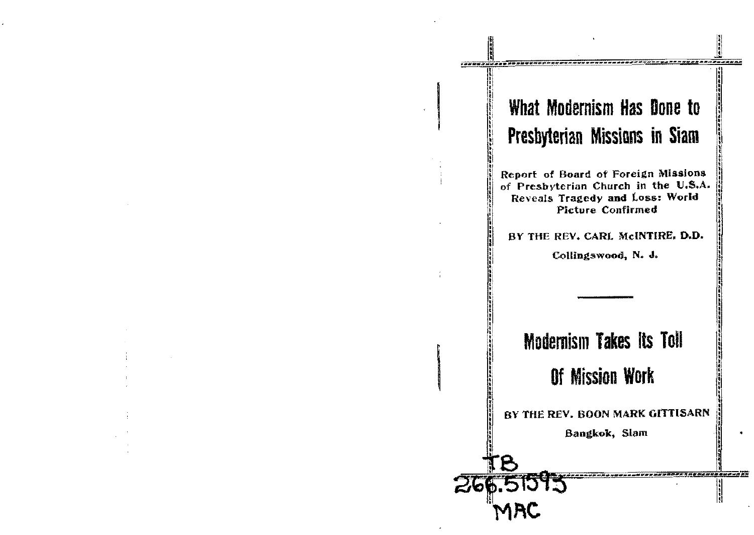## What Modernism Has Done to Presbyterian Missions in Siam

,,,,,,,,,,,,,,,,,,,,,,,

,,,,,,,,,,,,,,,,,,,,,

Ħ

Report of Board of Foreign Missions of Presbyterian Church in the U.S.A. Reveals Tragedy and Loss: World **Picture Confirmed** 

BY THE REV. CARL McINTIRE, D.D.

Collingswood, N. J.

# **Modernism Takes Its Toll**

### Of Mission Work

BY THE REV. BOON MARK GITTISARN

Bangkok, Slam

266.515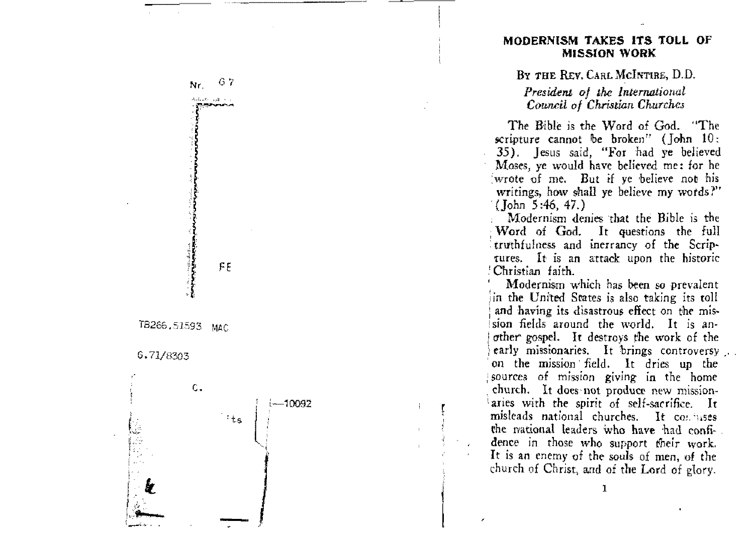

BY THE REV. CARL MCINTIRE, D.D.

President of the International Council of Christian Churches

The Bible is the Word of God. "The scripture cannot be broken" ( $\lceil \text{ohn} \rceil$ 10; 35). Jesus said, "For had ye believed Moses, ye would have believed me: for he wrote of me. But if ye believe not his writings, how shall ye believe my words?"  $($  Tohn 5:46, 47.)

Modernism denies that the Bible is the Word of God. It questions the full truthfulness and inerrancy of the Scriptures. It is an attack upon the historic ! Christian faith.

Modernism which has been so prevalent in the United States is also taking its toll and having its disastrous effect on the mission fields around the world. It is another gospel. It destroys the work of the early missionaries. It brings controversy ... on the mission field. It dries up the sources of mission giving in the home church. It does not produce new missionaries with the spirit of self-sacrifice. It misleads national churches. It conjuses the mational leaders who have had confidence in those who support their work. It is an enemy of the souls of men, of the church of Christ, and of the Lord of glory.



6.71/8303

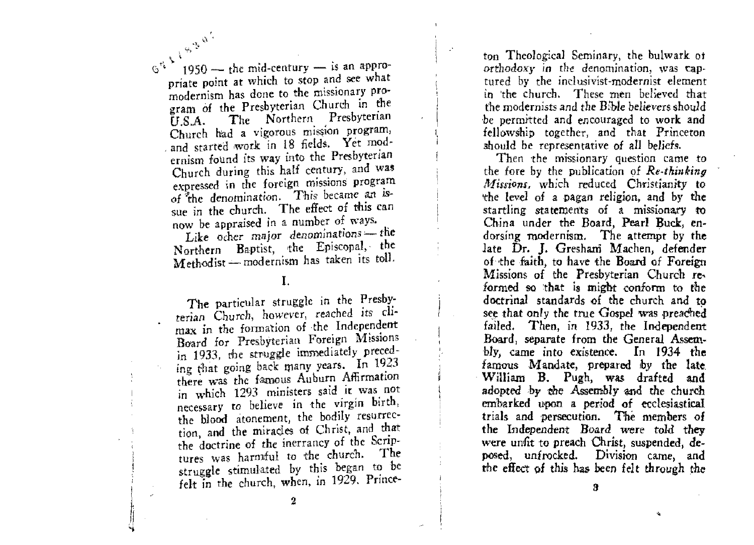GULLAND. 1950 — the mid-century — is an appropriate point at which to stop and see what modernism has done to the missionary program of the Presbyterian Church in the The Northern Presbyterian  $\mathbf{U.S.A.}$ Church had a vigorous mission program, and started work in 18 fields. Yet modernism found its way into the Presbyterian Church during this half century, and was expressed in the foreign missions program of the denomination. This became an issue in the church. The effect of this can now be appraised in a number of ways.

Like ocher major denominations-the Northern Baptist, the Episcopal, the Methodist - modernism has taken its toll.

#### $\mathbf{I}$ .

The particular struggle in the Presbyterian Church, however, reached its climax in the formation of the Independent Board for Presbyterian Foreign Missions in 1933, the struggle immediately preceding that going back many years. In 1923 there was the famous Auburn Affirmation in which 1293 ministers said it was not necessary to believe in the virgin birth, the blood atonement, the bodily resurrection, and the miracles of Christ, and that the doctrine of the inerrancy of the Scriptures was harmful to the church. - The struggle stimulated by this began to be felt in the church, when, in 1929. Princeton Theological Seminary, the bulwark of orthodoxy in the denomination, was captured by the inclusivist-modernist element in the church. These men believed that the modernists and the Bible believers should be permitted and encouraged to work and fellowship together, and that Princeton should be representative of all beliefs.

Then the missionary question came to the fore by the publication of Re-thinking Missions, which reduced Christianity to the level of a pagan religion, and by the startling statements of a missionary to China under the Board, Pearl Buck, endorsing modernism. The attempt by the late Dr. J. Gresham Machen, defender of the faith, to have the Board of Foreign Missions of the Presbyterian Church reformed so that is might conform to the doctrinal standards of the church and to see that only the true Gospel was preached failed. Then, in 1933, the Independent Board, separate from the General Assembly, came into existence. In 1934 the famous Mandate, prepared by the late William B. Pugh, was drafted and adopted by the Assembly and the church embarked upon a period of ecclesiastical trials and persecution. The members of the Independent Board were told they were unfit to preach Christ, suspended, deposed, unfrocked. Division came, and the effect of this has been felt through the

â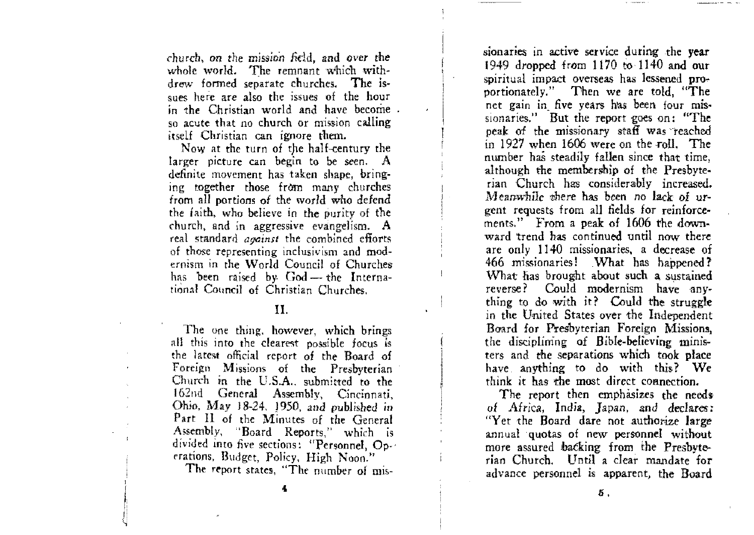church, on the mission field, and over the whole world. The remnant which withdrew formed separate churches. The issues here are also the issues of the hour in the Christian world and have become. so acute that no church or mission calling itself Christian can ignore tbem.

Now at the turn of the half-century the larger picture can begin to be seen. A definite movement has taken shape, bringing together those from many churches from all portions of the world who defend the faith, who believe in the purity of the church. and in aggressive evangelism. A real standard *aqainst* the combined eflorts of those representing inclusivism and modernism in the World Council of Churches has been raised by God—the International Council of Christian Churches.

#### II.

The one thing. however, which brings all this into the clearest possible focus is the latest official report of the Board of Foreign Missions of the Presbyterian Church in the U.S.A., submitted to the 162nd General Assembly, Cincinnati, Ohio. May J 8-24. 1950. and publisbed in Part II of the Minutes of the General Assembly, "Board Reports." which is divided into five sections: "Personnel,  $Op~$ erations, Budget, Policy, High Noon."

**The report** states, **"The** number of rnis-

sionaries in active service during the year 1949 dropped from 1170 to 1140 and our spiritual impact overseas has lessened proportionately." Then we are told, "The net gain in five years has been four missionaries." But the report goes on: "The peak of the missionary staff was reached in 1927 when 1606 were on the roll. The number has steadily fallen since that time, although the membership of the Presbyterian Church has considerably increased. Meanwhile there has been no lack of urgent requests from all fields for reinforcements." From a peak of 1606 the down. ward trend has continued until now there are only 1140 missionaries, a decrease of 466 missionaries! What has happened? What has brought about such a sustained reverse? Could modernism have anything to do with it? Could the struggle in the United States over the Independent Board for Presbyterian Foreign Missions, the disciplining of Bible-believing ministers and the separations which took place have anything to do with this? We think it has the most direct connection.

The report then emphasizes the needs of Africa, India, Japan, and declares: "Yet the Board dare not authorize large annual quotas of new personnel without more assured backing from the Presbyterian Church. Until a clear mandate for advance personnel is apparent, the Board

i  $\frac{1}{1}$ 

,: (,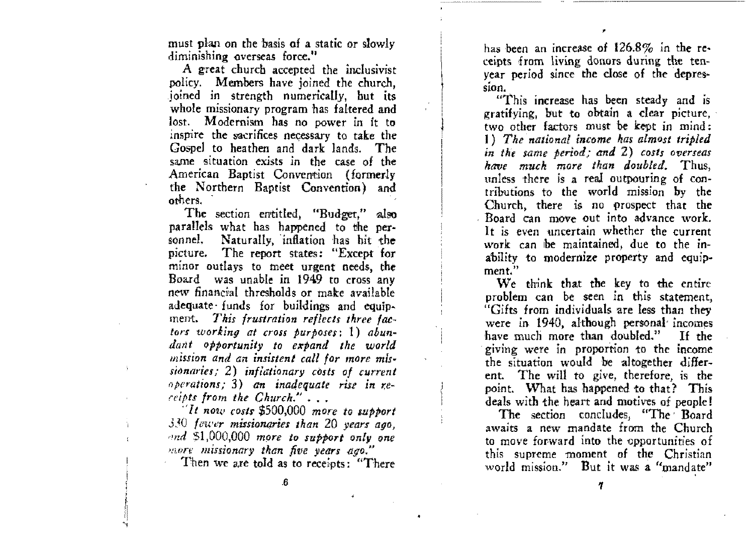must plan on the basis of a static or slowly diminishing overseas force."

A great church accepted the inclusivist policy. Members have joined the church, joined in strength numerically, but its whole missionary program has faltered and lost. Modernism has no power in it to inspire the sacrifices necessary to take the Gospel to heathen and dark lands. The same situation exists in the case of the American Baptist Convention (formerly the Northern Baptist Convention) and others.

The section entitled, "Budget," also parallels what has happened to the per-Naturally, inflation has hit the sonnel. picture. The report states: "Except for minor outlays to meet urgent needs, the Board was unable in 1949 to cross any new financial thresholds or make available adequate funds for buildings and equipment. This frustration reflects three factors working at cross purposes:  $1)$  abundant opportunity to expand the world mission and an insistent call for more missionaries; 2) inflationary costs of current operations; 3) an inadequate rise in receipts from the Church."...

 $1$   $It$  now costs \$500,000 more to support  $330$  fewer missionaries than 20 years ago. and \$1,000,000 more to support only one more missionary than five years ago."

Then we are told as to receipts: "There

has been an increase of  $126.8\%$  in the receipts from living donors during the tenyear period since the close of the depression.

"This increase has been steady and is gratifying, but to obtain a clear picture, two other factors must be kept in mind: 1) The national income has almost tripled in the same period; and 2) costs overseas have much more than doubled. Thus, unless there is a real outpouring of contributions to the world mission by the Church, there is no prospect that the Board can move out into advance work. It is even uncertain whether the current work can be maintained, due to the inability to modernize property and equipment."

We think that the key to the entire problem can be seen in this statement. "Gifts from individuals are less than they were in 1940, although personal incomes have much more than doubled." If the giving were in proportion to the income the situation would be altogether different. The will to give, therefore, is the point. What has happened to that? This deals with the heart and motives of people!

The section concludes, "The Board awaits a new mandate from the Church to move forward into the opportunities of this supreme moment of the Christian world mission." But it was a "mandate"

 $\mathbf{6}$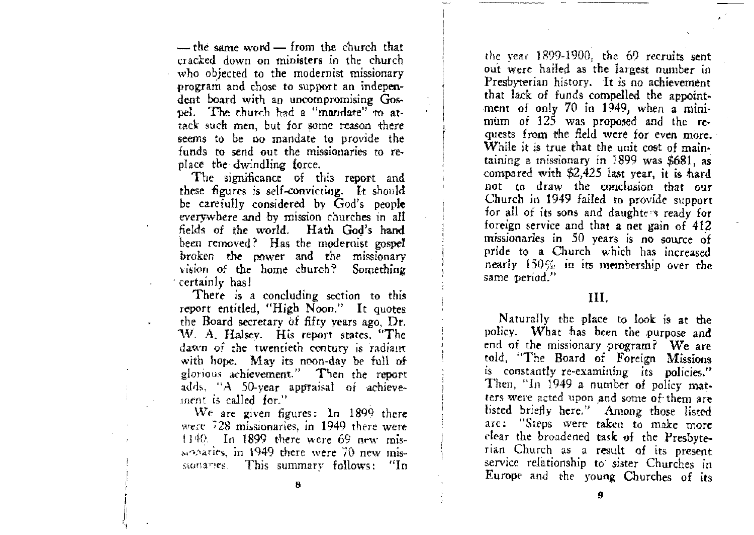$-$  the same word  $-$  from the church that cracked down on ministers in the church who objected to the modernist missionary program and chose to support an independent board with an uncompromising Gospel. The church had a "mandate" to attack such men, but for some reason there seems to be no mandate to provide the funds to send out the missionaries to replace the dwindling force.

The significance of this report and these figures is self-convicting. It should be carefully considered by God's people everywhere and by mission churches in all fields of the world. Hath God's hand been removed? Has the modernist gospel broken the power and the missionary vision of the home church? Something ' certainly has!

There is a concluding section to this report entitled, "High Noon." It quotes the Board secretary of fifty years ago. Dr. W. A. Halsey. His report states. "The dawn of the twentieth century is radiant with hope. May its noon-day be full of glorious achievement." Then the report adds, "A 50-year appraisal of achievement is called for."

We are given figures: In 1899 there were 728 missionaries, in 1949 there were 1140. In 1899 there were 69 new misseparies, in 1949 there were 70 new mis-This summary follows: "In stariames.

the year 1899-1900, the 69 recruits sent out were hailed as the largest number in Presbyterian history. It is no achievement that lack of funds compelled the appointment of only 70 in 1949, when a minimum of 125 was proposed and the requests from the field were for even more. While it is true that the unit cost of maintaining a missionary in 1899 was \$681, as compared with  $$2,425$  last year, it is hard not to draw the conclusion that our Church in 1949 failed to provide support for all of its sons and daughters ready for foreign service and that a net gain of 412 missionaries in 50 years is no source of pride to a Church which has increased nearly  $150\%$  in its membership over the same period."

#### III.

Naturally the place to look is at the policy. What has been the purpose and end of the missionary program? We are told, "The Board of Foreign Missions is constantly re-examining its policies." Then, "In 1949 a number of policy matters were acted upon and some of them are listed briefly here." Among those listed are: "Steps were taken to make more clear the broadened task of the Presbyterian Church as a result of its present service relationship to sister Churches in Europe and the young Churches of its

Ĥ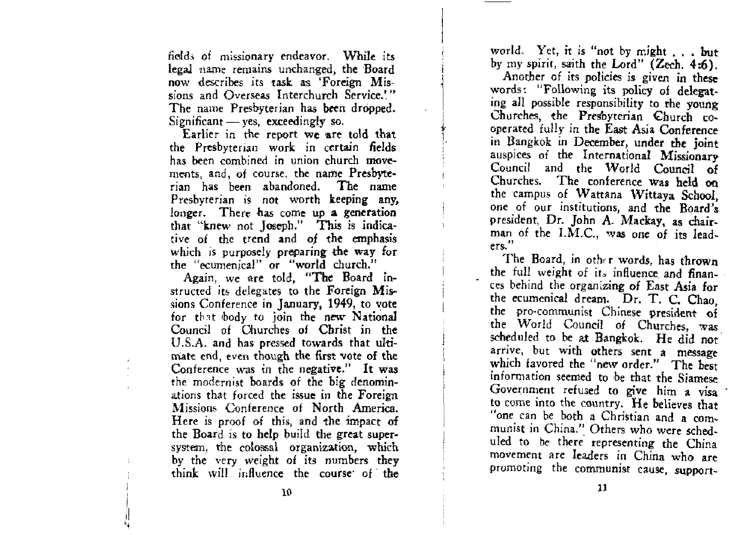field, 01 missionary endeavor. While its legal name remains unchanged, the Board now describes its task as 'Foreign Missions and Overseas Interchurch Service.<sup>19</sup> The name Presbyterian has been dropped. Significant  $-$  yes, exceedingly so.

j

,

Earlier in the report we are told that the Presbyterian work in certain fields has been combined in union church movements, and, of course, the name Presbyterian has been abandoned. The name Presbyterian is not worth keeping any, longer. There has come up a generation that "knew not Joseph." This is indicalive of the trend and *oj* the emphasls which is purposely preparing the way for  $t$ he "ecumenical" or "world church."

Again, we are told, "The Board instructed its delegates to the Foreign Missions Conference in January, 1949, to vote for that body to join the new National Council of Churches of Christ in the U.S.A. and has pressed towards that uItimate end, even though the first vote of the **Conference was in the negative." It was**  the modernist boards of the big denominations that forced the issue in the Foreign Missions Conference of North America. Here is proof of this, and the impact of the Board is to help build the great supersystem, the colossal organization, which by the very weight of its numbers they think: will influence the course· of the world. Yet, it is "not by might . . . but by my spirit, saith the Lord"  $(Zech. 4:6)$ .

Another of its policies is given in these words: "Following its policy of delegating all possible responsibility to the young Churches, the Presbyterian Church co-<br>operated fully in the East Asia Conference in Bangkok in December, under the joint auspices of the International Missionary Council and the World Council of Churches. The conference was held on the campus of Wattana Wittaya. School, one of our institutions, and the Board's president, Dr. John A. Mackay, as chairman of the I.M.C., was one of its lead. **ers."** 

The Board, in other words, has thrown the full weight of its influence and finances behind the organizing of East Asia for the ecumenical dream. Dr. T. C. Chao, the pro-communist Chinese president of the World Council of Churches, was scheduled to be at Bangkok. He did not arrive, but with others sent a message which favored the "new order." The best information seemed to be that the Siamese Government refused to give him a visa to come into the country. He believes that "one can be both a Christian and a com. munist in China." Others who were scheduled to be there representing the China movement are leaders in China who are promoting the communist cause, support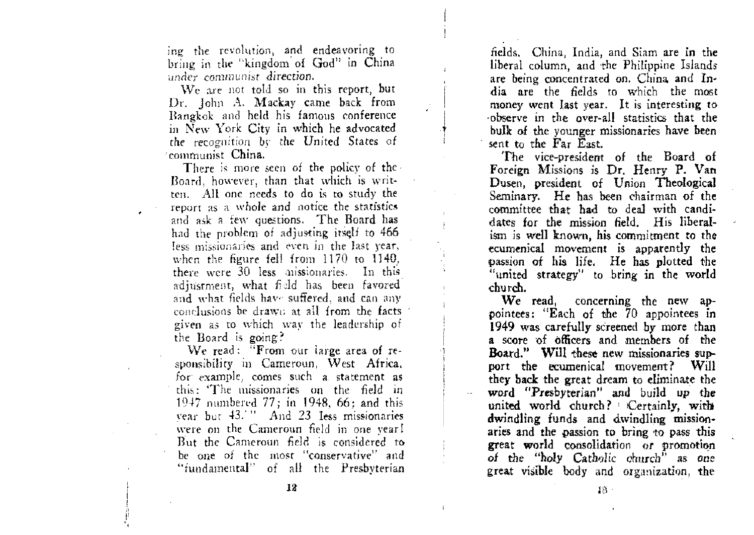ing the revolution, and endeavoring to bring in the "kingdom of God" in China under communist direction.

We are not told so in this report, but Dr. John A. Mackay came back from Bangkok and held his famous conference in New York City in which he advocated the recognition by the United States of communist China.

There is more seen of the policy of the Board, however, than that which is written. All one needs to do is to study the report as a whole and notice the statistics and ask a few questions. The Board has had the problem of adjusting itself to 466 less missionaries and even in the last year, when the figure fell from 1170 to 1140. there were 30 less missionaries. In this adjustment, what field has been favored and what fields have suffered, and can any conclusions be drawn at all from the facts given as to which way the leadership of the Board is going?

We read: "From our large area of responsibility in Cameroun, West Africa, for example, comes such a statement as this: The missionaries on the field in 1947 numbered 77; in 1948, 66; and this vear but 43.<sup>11</sup> And 23 less missionaries were on the Cameroun field in one year! But the Cameroun field is considered to be one of the most "conservative" and "fundamental" of all the Presbyterian

fields. China, India, and Siam are in the liberal column, and the Philippine Islands are being concentrated on. China and India are the fields to which the most money went last year. It is interesting to observe in the over-all statistics that the bulk of the younger missionaries have been sent to the Far East.

The vice-president of the Board of Foreign Missions is Dr. Henry P. Van Dusen, president of Union Theological Seminary. He has been chairman of the committee that had to deal with candidates for the mission field. His liberalism is well known, his commitment to the ecumenical movement is apparently the passion of his life. He has plotted the "united strategy" to bring in the world church.

We read, concerning the new appointees: "Each of the 70 appointees in 1949 was carefully screened by more than a score of officers and members of the Board." Will these new missionaries support the ecumenical movement? Will they back the great dream to eliminate the word "Presbyterian" and build up the united world church? Certainly, with dwindling funds and dwindling missionaries and the passion to bring to pass this great world consolidation or promotion of the "holy Catholic church" as one great visible body and organization, the

 $18 -$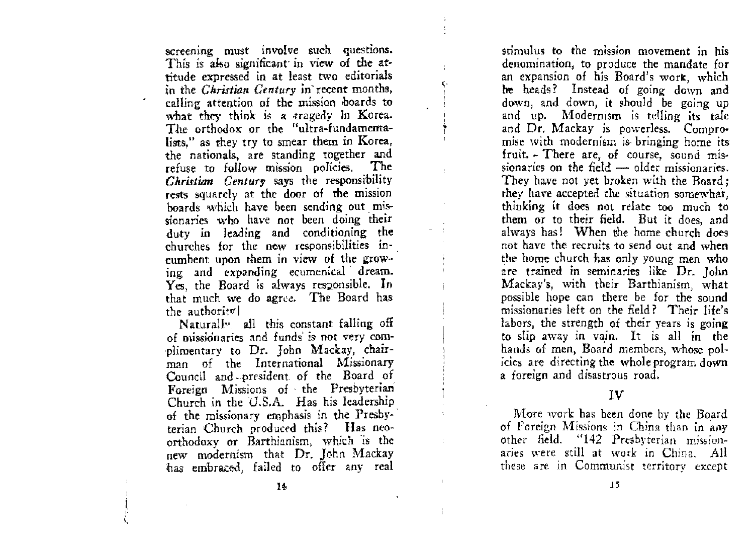screening must involve such questions. This is also significant in view of the attitude expressed in at least two editorials in the *Christian Century* in recent months, calling attention of the mission boards to what they think is a tragedy in Korea. The orthodox or the "ultra-fundamentalists," as they try to smear them in Korea, the nationals, are standing together and refuse to follow mission policies. The *Christian Century* says the responsibility rests squarely at the door of the mission boards which have been sending out missionaries who have not been doing their duty in leading and conditioning the churehes for the new responsibilities incumbent upon them in view of the grow-ing and expanding ecumenical' dream. Yes, the Board is always responsible. In that much we do agree. The Board has the authority

Naturally, all this constant falling off of missionaries and funds is not very complimentary to Dr. John Mackay, chairman of the International Missionary Council and president of the Board of Foreign Missions of· the Presbyterian Church in the  $U.S.A.$  Has his leadership of the missionary emphasis in the Presby terian Church produced this? Has neoorthodoxy or Barthianism, which 'is the new modernism that Dr. John Mackay has embraced, failed to offer any real

stimulus to the mission movement in his denomination, to produce the mandate for an expansion of his Board's work, which he heads? Instead of going down and down, and down, it should be going up and up. Modernism is telling its tale and Dr. Mackay is powerless. Compromise with modernism is bringing home its fruit. ~ There are, of course, sound mis· sionaries on the field  $-$  older missionaries. They have not yet broken with the Board; they have accepted the situation somewhat, thinking it does not relate too much to them or to their field. But it does, and always has! When the home church does not have the recruits 10 send out and when the home church has only young men who are trained in seminaries like Dr. John Mackay's, with their Barthianism, what possible hope can there be for the sound missionaries left on the field? Their life's labors, the strength of their years is going to slip away in vain. It is all in the hands of men, Board members, whose polides are directing the whole program down a foreign and disastrous road.

IV

More work has been done bv the Board of Foreign Missions in China than in any other field. "142 Presbyterian missionaries were still at work in China. All these are in Communist territory except

 $\mathbf{I}$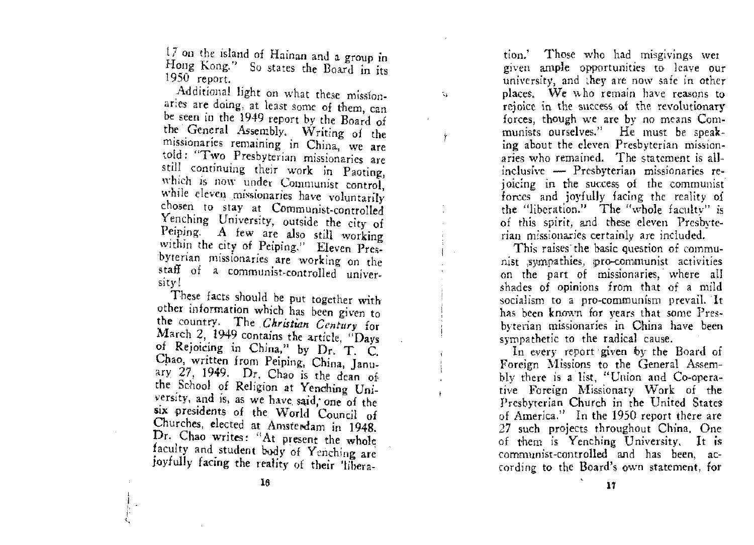$17$  on the island of Hainan and a group in Hong Kong." So states the Board in its 1950 report.

Ñ.

Additional light on what these misslonaries are doing, at least some of them, can be seen in the 1949 report by the Board of the General Assembly. Writing of the missionaries remaining in China, we are told: "Two Presbyterian missionaries are still continuing their work in Paoting, which is now under Communist control, while eleven missionaries have voluntarily chosen to stay at Communist-controlled Yenching University. outside the city of Peiping. A few are also still working within the city of Peiping." Eleven Pres-'bYterian missionaries are working on the staff of a communist-controlled' university!

These facts should be put together with other information which has been given to the country. The, *Christian Century* for March 2, 1949 contains the article, "Days of Rejoicing in China," by Dr. T. C. Cpao, written from Peiping, China, January 27, 1949. Dr. Chao is the dean of the School of Religion at Yenching University, and is, as we have said, one of the six presidents of the World Council of Churches, elected at Amsterdam in 1948. Dr. Chao writes: "At present the whole faculty and student body of Yenching are joyfully facing the reality of their 'libera-

tion.' Those who had misgivings wer given ample opportunides to leave Our university, and they are now safe in other places. We who remain have reasons to rejoice in the success of the revolutionary forces) though we are by no means Communists ourselves." He must be speaking about the eleven Presbyterian missionaries who remained. The statement is allinclusive - Presbyterian missionaries rejoicing in the success of the communist forces and joyfully facing the reality of the "liberation." The "whole faculty" is of this spirit, and these eleven Presbyterian missionaries certainly are included.

This raises the basic question of communist sympathies, pro-communist activities on the part of missionaries,' where all shades of opinions from that of a mild socialism to a pro-communism prevail. It has been known for years that some Presbvterian missionaries in Ohina have been sympathetic to the radical cause.

In every report given by the Board of Foreign Missions to the General Assembly there is a list, "Union and Co-operative Foreign Missionary Work of the Presbyterian Church in the United States of America." In the 1950 report there are 27 such projects throughout China. One of them is Yenching University. It is communist-controlled and has been, according to the Board's own statement, for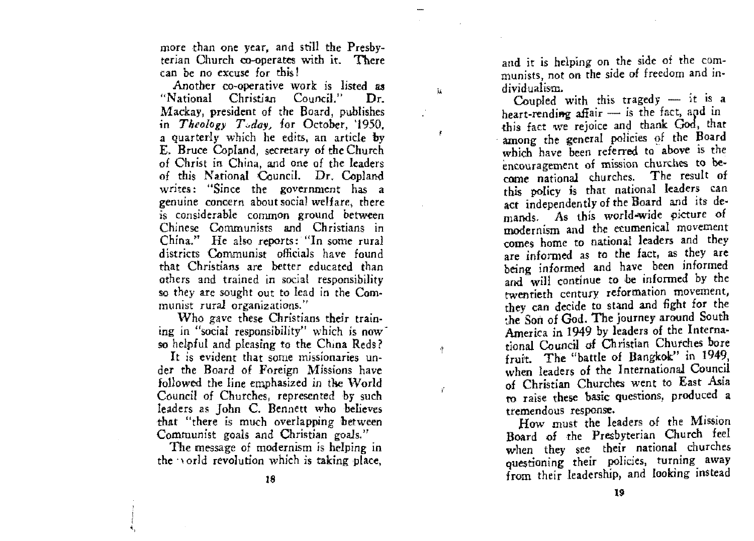more than one year, and still the Presbyterian Church co-operates with it. There can be no *excuse* for this!

Ĭś.

争

 $\mathbf{r}$ 

Another co-operative work is listed as "National Christian Council." Dr. Mackay, president of the Board, publishes in *Theology T<sub>sday*, for October, '1950.</sub> a quarterly which he edits. an article by E. Bruce Copland, secretary of the Church of Christ in China, and one of the leaders of this National Council. Dr. Copland writes: "Since the government has a genuine concern about social welfare, there is considerable common ground between Chinese Communists and Christians in China." He also reports: "In some rural districts Communist officials have found that Christians are hetter educated than others and trained in social responsibility so they are sought out to lead in the Com**munist rural organizations."** 

'Vho gave these Christians their train**ing in "social responsibility" which is now**so helpful and pleasing to the China Reds?

**It is evident that some missionaries** under the Board of Foreign Missions have followed the line emphasized in the World Council of Churches, represented by such leaders as John C. Bennett who believes that "there is much overlapping between Communist goals and Christian goals."

The message of modernism is helping in the vorld revolution which is taking place,

and it is helping on the side of the communists, not on the side of freedom and individualism.

Coupled with this tragedy  $-$  it is a heart-rending affair - is the fact, and in this fact we rejoice and thank God, that among the general policies of the Board which have been referred to above is the encouragement of mission churches to become national churches. The result of this policy is that national leaders can act independently of the Board and its demands. As this world-wide picture of modernism and the ecumenical movement comes home to national leaders and they are informed as to the fact, as they are being informed and have been informed and will continue to be infonned by *the*  twentieth century reformation movement, they can decide to stand and fight for the :.he Son of God. The journey around South America in 1949 *by* leaders of the International Council of Christian Churches bore fruit. The "battle of Bangkok" in 1949, when leaders of the International Council of Christian Churches went to East Asia to raise these basic questions, produced a tremendous response.

How must the leaders of the Mission Board of the Presbyterian Church feel when they see their national churches questioning their policies, turning away from their leadership, and looking instead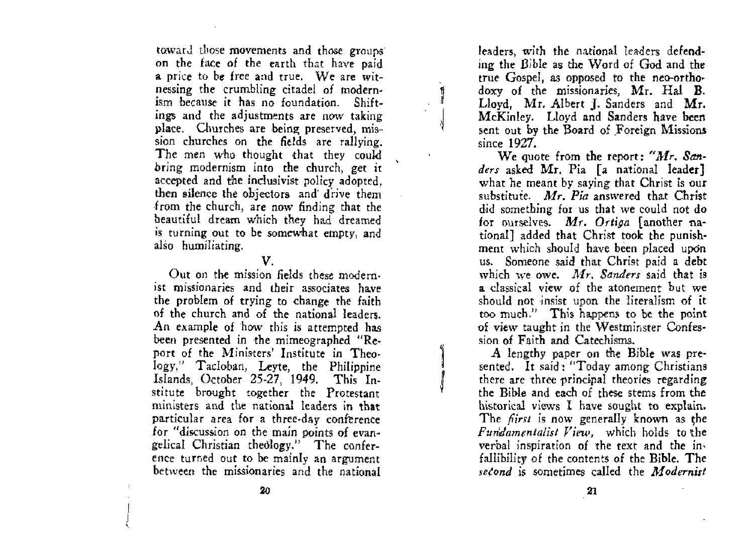toward those movements and those groups' on the face of the earth that have paid a price to be free and true. We are witnessing the crumbling citadel of modernism because it has no foundation. Shiftings and the adjustments are now taking place. Churches are heing preserved, mission churches on the fields are rallying. The men who thought that they could bring modernism into the church, get it accepted and the inclusivist policy adopted, then silenee the objectors and' drive them from the church, are now finding that the beautiful dream which they had dreamed is turning out to be somewhat empty, and also humiliating.

#### V.

Out on the mission fields these modern· **ist missionaries and their associates have**  the problem of trying to change the faith of the church and of the national leaders. An example of how this is attempted has been presented in the mimeographed "Report of the Ministers' Institute in Theology," Tacloban, Leyte, the Philippine Islands, Oetober 25-27, 1949. This Institute brought together the Protestant ministers and the national leaders in tbat particular area for a three-day conference for "discussion on the main points of evangelical Christian theology." The conference turned out to be mainly an argument between the missionaries and the national

leaders, with the national leaders defending the Bible as the Word of God and the true Gospel, as opposed to the neo-orthodoxy of the missionaries, Mr. Hal B. Lloyd. Mr. Albert J. Sanders and Mr. McKinley. Lloyd and Sanders have been sent out by the Board of Foreign Missions since 1921.

We quote from the report: *"Mr. Sanders* asked Mr. Pia [a national leader] what he meant by saying that Christ is our substitute. *Mr. Pia* answered that Christ did something for us that we could not do for ourselves. Mr. Ortiga [another national] added that Christ took the punishment which should have been placed upon us. Someone said that Christ paid a debt which we owe. *Afr. Sanders* said that is a dassical view of the atonement but we should not insist upon the literalism of it too much." This happens to be the point of view taught in the Westminster Confession of Faith and Catechisms.

, A lengthy paper on the Bible was presented. It said: "Today among Christians there are three principal theories regarding the Bible and eaeh of these sterns from the historical views I have sought to explain. The *fiirst* is now generally known as the *Fundamentalist View*, which holds to the verbal inspiration of 'the text and the in. fallibility of the contents of the Bible. The second is sometimes called the *Modernist* 

ج<br>مستعدد<br>1

 $\overline{\mathcal{L}}$ J I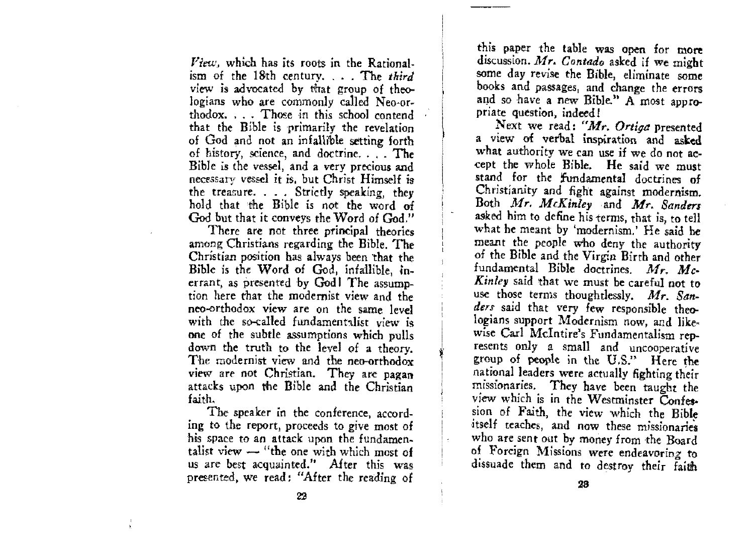*View*, which has its roots in the Rational. ism of the 18th century. . . . The third view is advocated by that group of theologians who are commonly called Neo-orthodox. . . . Those in this school contend that the Bible is primarily the revelation of God and not an infallible setting forth of history, science, and doctrine. . . . The Bible is the vessel, and a very precious and necessary vessel it is, but Christ Himself is the treasure. . . . Strictly speaking, they hold that the Bible is not the word of God but that it conveys the Word of God."

There are not three principal theories among Christians regarding the Bible. The Christian position has always been that the Bible is the Word of God, infallible, inerrant, as presented by God1 The assumption here that the modernist view and the neo-orthodox view are on the same level with the so-called fundamentalist view is one of the subtle assumptions which pulls down the truth to the level of a theory. The modernist view and the neo-orthodox view are not Christian. They are pagan attacks upon the Bible and the Christian faith.

The speaker in the conference, according to the report, proceeds to give most of his space to an attack upon the fundamentalist view - "the one with which most of us are best acquainted." After this was presented, we read: "After the reading of

this paper the table was open for more discussion. Mr. Contado asked if we might some day revise the Bible, eliminate some books and passages, and change the errors and so have a new Bible." A most appropriate question, indeed!

Next we read: "Mr. Ortiga presented a view of verbal inspiration and asked what authority we can use if we do not accept the whole Bible. He said we must stand for the fundamental doctrines of Christianity and fight against modernism. Both Mr. McKinley and Mr. Sanders asked him to define his terms, that is, to tell what he meant by 'modernism.' He said he meant the people who deny the authority of the Bible and the Virgin Birth and other fundamental Bible doctrines. Mr. Mc-Kinley said that we must be careful not to use those terms thoughtlessly, Mr. Sanders said that very few responsible theologians support Modernism now, and likewise Carl McIntire's Fundamentalism represents only a small and uncooperative group of people in the U.S." Here the national leaders were actually fighting their missionaries. They have been taught the view which is in the Westminster Confession of Faith, the view which the Bible itself teaches, and now these missionaries who are sent out by money from the Board of Foreign Missions were endeavoring to dissuade them and to destroy their faith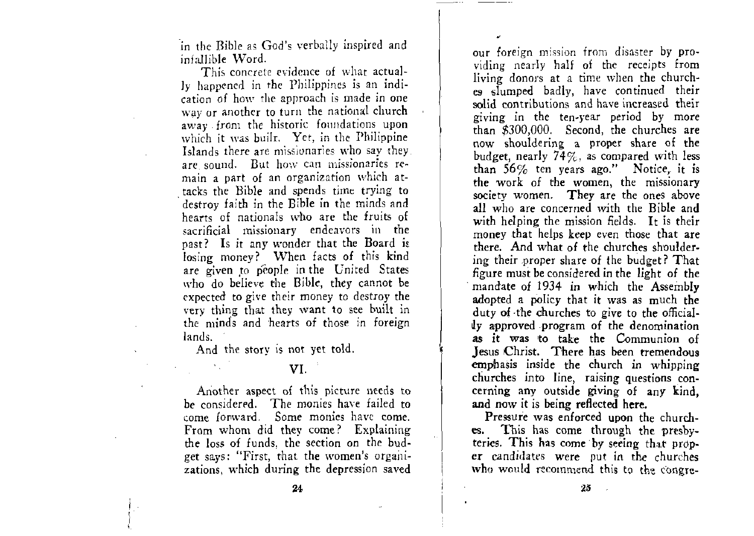in the Bible as God's verbally inspired and infallible Word.

This concrete evidence of what actually happened in the Philippines is an indication of how the approach is made in one way or another to turn the national church away from the historic foundations upon which it was built. Yet, in the Philippine Islands there are missionaries who say they. are sound. But how cart missionaries re**main a part of an organization which attacks the Bible and spends time trying to**  . destroy faith in the Bible in the minds and hearts of nationals who are the fruits of sacrificial missionary endeavors in the past? Is it any wonder that the Board is losing money? When facts of this kind are given to people in the United States who do believe the Bible, they cannot be expected to give their money to destroy the very thing that they want to see built in the minds and hearts of those in foreign lands.

And the story is not yet told.

#### VI.

Another aspect of this picture needs to be considered. The monies have failed to come forward. Some monies have come. From whom did they come? Explaining the loss of funds, the section on the budget says: "First, that the women's organizations, which during the depression saved

**our foreign mISSIOn from disaster by pro·**  viding nearly half of the receipts from living donors at a time when the churches slumped badly, have con tinued their **solid contributions and have increased their**  giving in the ten-year period by more than \$300,000. Second, the churches are now shouldering a proper share of the budget, nearly  $74\%$ , as compared with less than 56% ten years ago." Notice, it is the work of the women, the missionary society women. They are the ones above all who are concerned with the Bible and with helping the mission fields. It is their money that helps keep even those that are there. And what of the churches shouldering their proper share of the budget? That figure must be considered in the light of the mandate of 1934 in which the Assembly adopted a policy that it was as much the duty of the churches to give to the officially approved program of the denomination as it was to take the Communion of Jesus Christ. There has been tremendous emphasis inside the church in whipping churches into line, raising questions concerning any outside giving of any kind, **and** now it is being reflected here.

Pressure was enfarced upon the churches. This has come through the presbyteries. This has come by seeing that prop**er** candidates were put in the churches who would recommend this to the congre-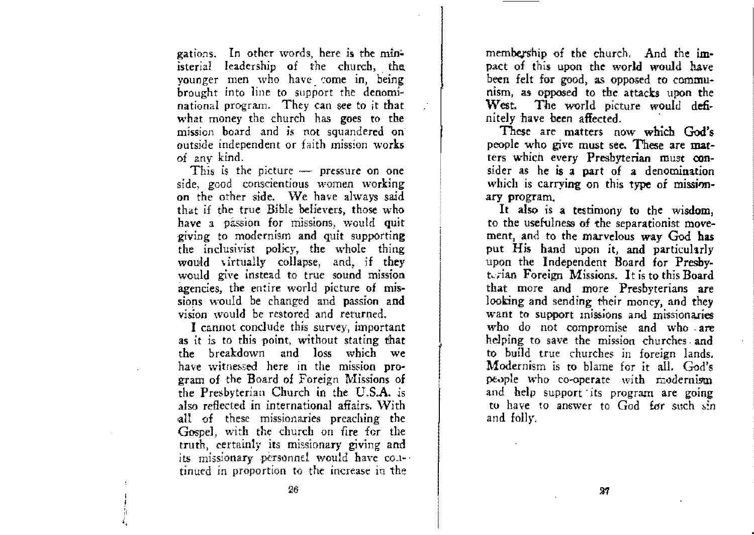gations. In other words, here is the ministerial leadership of the church, the younger men who have come in, being brought into line to support the denominational program. They can see to it that what money the church has goes to the mission board and is not squandered on· outside independent or faith mission **works**  of any kind.

This is the picture  $-$  pressure on one side, good conscientious women working on the other side. We have always said that if the true Bible believers, those who have a passion for missions, would quit giving to modernism and quit supporting the inclusivist policy, the whole thing would virtually collapse, and, if they would give instead to true sound mission agencies, the entire world picture of missions would be changed and passion and vision would be restored and returned.

I cannot conclude this survey, important as it is to this point, without stating that the breakdown and loss which we have witnessed here in the mission pro-<br>gram of the Board of Foreign Missions of the Presbyterian Church in the U.S.A. is also reflected in international affairs. With all of these missionaries preaching the Gospel, with the church on fire for the truth, certainly its missionary giving and its missionary personnel would have co.itinued in proportion to the increase in the

membership of the church. And the impact of this upon the world would have been felt for good, as opposed to communism, as opposed to the attacks upon the West. The world picture would definitely have been affected. '

These are matters now which God's people who give must see. These are matters whien every Presbyterian must consider as he is a part of a denomination which is carrying on this type of missionary program.

It also is a testimony to the wisdom, to the usefulness of the separationist movement, and to the marvelous way God has put His hand upon it, and particularly upon the Independent Board for Presbyterian Foreign Missions. It is to this Board that more and more Presbyterians are looking and sending their money, and they want to support inissions and missionaries who do not compromise and who - are helping to save the mission churches and to build true churches in foreign lands. Modernism is to blame for it all. God's people who co-operate with  $\equiv$  odernism and help support its program are going to have to answer to God for such sin and folly.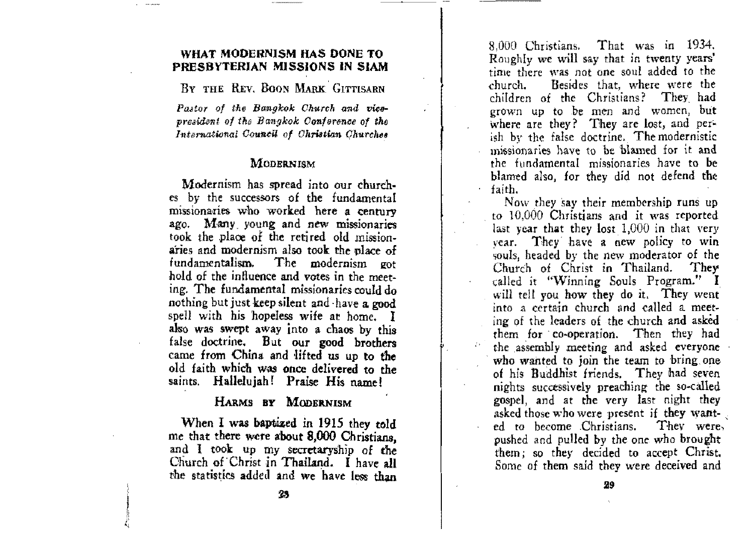#### WHAT MODERNISM HAS DONE TO PRESBYTERIAN MISSIONS IN SIAM

BY THE REV. BOON MARK GITTISARN

Pastor of the Bangkok Church and vicepresident of the Bangkok Conference of the International Council of Christian Churches

#### **MODERNISM**

Modernism has spread into our churches by the successors of the fundamental missionaries who worked here a century ago. Many young and new missionaries took the place of the retired old missionaries and modernism also took the place of The modernism got fundamentalism. hold of the influence and votes in the meeting. The fundamental missionaries could do nothing but just keep silent and have a good spell with his hopeless wife at home. I also was swept away into a chaos by this false doctrine. But our good brothers came from China and lifted us up to the old faith which was once delivered to the saints. Hallelujah! Praise His name!

#### HARMS BY MODERNISM

When I was baptized in 1915 they told me that there were about 8,000 Christians. and I took up my secretaryship of the Church of Christ in Thailand. I have all the statistics added and we have less than

That was in 1934. 8.000 Christians. Roughly we will say that in twenty years' time there was not one soul added to the Besides that, where were the church. children of the Christians? They had grown up to be men and women, but where are they? They are lost, and perish by the false doctrine. The modernistic missionaries have to be blamed for it and the fundamental missionaries have to be blamed also, for they did not defend the faith.

Now they say their membership runs up to 10,000 Christians and it was reported last year that they lost 1,000 in that very year. They have a new policy to win souls, headed by the new moderator of the They Church of Christ in Thailand. called it "Winning Souls Program." I will tell you how they do it. They went into a certain church and called a meeting of the leaders of the church and asked them for co-operation. Then they had the assembly meeting and asked everyone who wanted to join the team to bring one of his Buddhist friends. They had seven nights successively preaching the so-called gospel, and at the very last night they asked those who were present if they wanted to become Christians. They were, pushed and pulled by the one who brought them; so they decided to accept Christ. Some of them said they were deceived and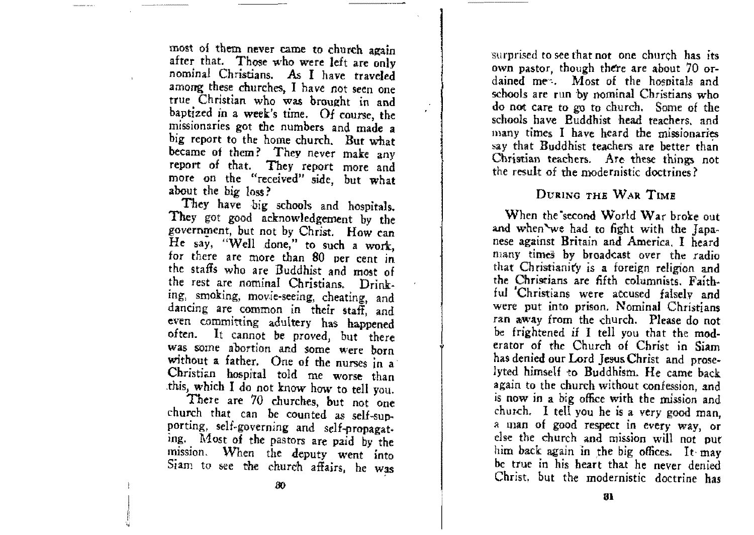most of them never came to church again after that. Those who were left are only nominal Christians. As I have traveled among these churches, I have not seen one true Christian who was brought in and baptized in a week's time. Of course, the missionaries got the numbers and made a big report to the home church. But what became of them? They never make any report of that. They report more and more on the "received" side, but what about the big loss?

They have big schools and hospitals. They got good acknowledgement by the government, but not by Christ. How can He say, "Well done," to such a work, for there are more than 80 Der cent in the staffs who are Buddhist and most of the rest are nominal Christians. Drinking, smoking, movie-seeing, cheating, and dancing are common in their staff, and even committing adultery has happened often. It cannot be proved, but there was SOme abortion and some Were born without a father. One of the nurses in a Christian hospital told me worse than *this,* which I do not know how to tell you.

There are 70 churches, but not one church that can be counted as self-supporting, self-governing and self-prapagating. Most of the pastors are paid by the mission. When the deputy went into Siam to see the church affairs, he was

surprised to see that not one church has its own pastor, though there are about 70 ordained men. Most of the hospitals and schools are run by nominal Christians who do not care to go to church. Some of the schools have Buddhist head teachers. and  $m$ any times I have heard the missionaries say that Buddhist teachers are better than Christian teachers. Are these things not the result of the modernistic doctrines?

#### DURING THE WAR TIME

When the second World War broke out and when'we had to fight with the Japanese against Britain and America. I heard many times by broadcast over the radio that Christianity is a foreign religion and the Christians are fifth columnists. Faithful 'Christians were accused falsely and were put into prison. Nominal Christians ran away from the church. Please do not be frightened if I tell you that the moderator of the Church of Christ in Siam has denied our Lord Jesus Christ and prose. lyted himself to Buddhism. He came back again to the church without confession, and is now in a big office wtth the nusslon and church. I tell you he is a very good man, a man of good respect in every way, or dse the church and mission will not put him back again in the big offices. It may be true in his heart that he never denied Christ. but the modernistic doctrine has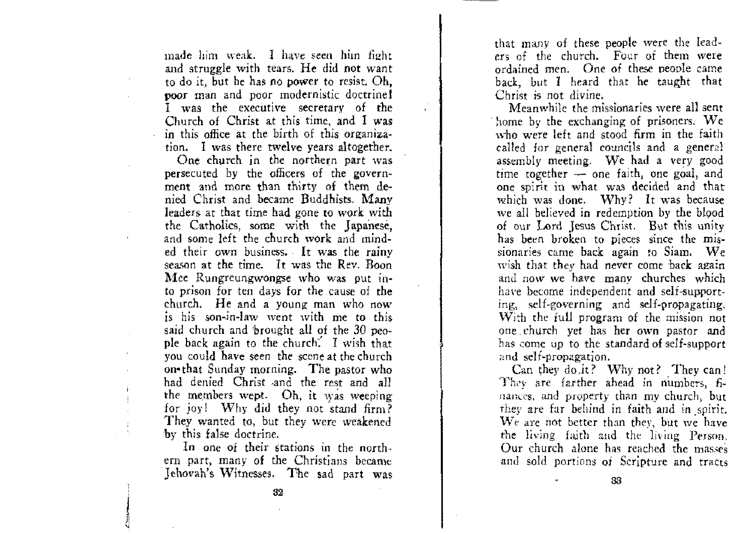made him weak. I have seen him fight and struggle with tears. He did not want to do it, but he has no power to resist. Oh. poor man and poor modernistic doctrine! I was the executive secretary of the Church of Christ at this time. and I was in this office at the birth of this organization. I was there twelve years altogether.

One church in the northern part was persecuted by the officers of the government and more than thirty of them denied Christ and became Buddhists. Many leaders at that time had gone to work with the Catholics. some with the Japanese. and some left the church work and minded their own business. It was the rainy season at the time. It was the Rev. Boon Mee Rungreungwongse who was put into prison for ten days for the cause of the church. He and a young man who now is his son-in-law went with me to this said church and 'brought all of the 30 people back again to the church: I wish that you could have seen the scene at the church on-that Sunday morning. The pastor who had denied Christ ·and the rest and all the members wept. Oh, it was weeping for joy! Why did they not stand firm? They wanted to, but they were weakened by this false doctrine.

In one of their stations in the northern part, many of the Christians became Jehovah's Witnesses. The sad part was that many of these people were the leaders of the church. Four of them were ordained men. One of these people came back, but I heard that he taught that Christ is not divine.

Meanwhile the missionaries were all sent home by the exchanging of prisoners. We who were left and stood firm in the faith called for general councils and a general assembly meeting, We had a *very* good time together  $-$  one faith, one goal, and one spirit in what was decided and that which was done. Why? It was because we all believed in redemption by the blood of our Lord Jesus Christ. But tbis unity has been broken to pieces since the missionaries came back again to Siam.  $\mathbf{W}\mathbf{e}$ wish that they had never come back again and now we have many churches which have become independent and self-supporting, self-governing and self-propagating, \Vi:h rhe full program of the mission not one. <hurch yet has her own pastor and has come up to the standard of self-support and self-propagation.

Can they do .it? Why not? They can! They are farther ahead in numbers, finances, and property than my church, but they are far behind in faith and in spirit. We are not better than they, but we have **the living faith and the living Person.** Our church alone has reached the masses and sold portions of Scripture and tracts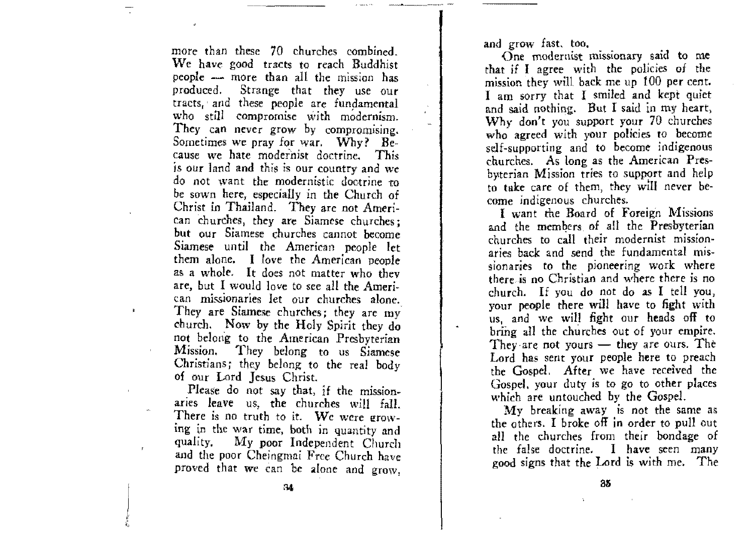more than these 70 churches combined. We have good tracts to reach Buddhist people - more than all the mission has produced. Strange that they use our tracts, and these people are fundamental who still compromise with modernism. They can never grow by compromising. Sometimes we pray for war. Why? *Be***cause we hate modernist doctrine. This**  is OUr land and this is OUT country and *we*  do not want the modernistic doctrine to be sown here, especially in the Church of Christ in Thailand. They are not Ameri-Can churches, they are Siamese churches; but Our Siamese churches cannot become Siamese until the American people let them alone. I love the American people as a whole. It does not matter who they are, but I would love to see all the Ameri**can missionaries let our churches alone.**  They are Siamese churches; they are my church. Now by the Holy Spirit they do not belong to the American Presbyterian Mission. They belong to us Siamese Christians; they belong to the real body of OUr Lord Jesus Christ.

 $\ddot{\bullet}$ 

Please do not say that, if the missionaries leave us, the churches will faIl. There is no truth to it. We were grow**ing in the war time, both in quantity and**  quality. My poor Independent Church and the poor Cheiogmai Free Church have proved that we can be alone and grow, and grow fast. too.

One modernist missionary said to me that if I agree with the policies of the mission they will back me up 100 per cent. I am sorry that I smiled and kept quiet and said nothing. But I said in my heart, Why don't you support your 70 churches who agreed with your policies to become self-supporting and to become indigenous churches. As long as the American Presbyterian Mission tries to support and help to take care of them, they wlll never become indigenous churches.

I want the Board of Foreign Missions and the members. of all the Presbyterian churches to call their modernist missionaries back and send the fundamental missionaries to the pioneering work where there is no Christian and where there is no church. If you do not do as I tell you, your people there will have to fight with<br>us, and we will fight our heads off to us and the members of all the Presbyterian<br>and the members of all the Presbyterian<br>churches to call their modernist mission-<br>aries back and send the fundamental mis-<br>sionaries to the pioneering work where<br>there is no Chris They are not yours  $-$  they are ours. The Lord has sent your people here to preach the Gospel. After we have received the Gospel. your duty is to go to other places which are untouched by the Gospel.

My breaking away is not the same as the others. I broke off in order to pull out all the churches from their bondage of the false doctrine. I have seen many good signs that the Lord is with me. The